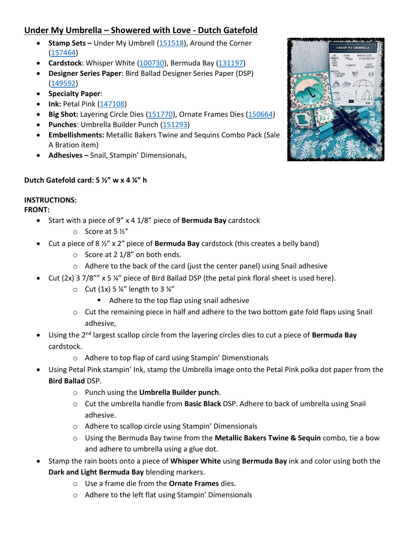## **Under My Umbrella – Showered with Love - Dutch Gatefold**

- **Stamp Sets –** Under My Umbrell [\(151518\)](https://www.stampinup.com/ECWeb/ProductDetails.aspx?productID=151518&dbwsdemoid=2151404), Around the Corner [\(157464\)](https://www.stampinup.com/ECWeb/ProductDetails.aspx?productID=157464&dbwsdemoid=2151404)
- **Cardstock**: Whisper White [\(100730\)](https://www.stampinup.com/ECWeb/ProductDetails.aspx?productID=100730&dbwsdemoid=2151404), Bermuda Bay [\(131197\)](https://www.stampinup.com/ECWeb/ProductDetails.aspx?productID=131197&dbwsdemoid=2151404)
- **Designer Series Paper**: Bird Ballad Designer Series Paper (DSP) [\(149592\)](https://www.stampinup.com/ECWeb/ProductDetails.aspx?productID=149592&dbwsdemoid=2151404)
- **Specialty Paper**:
- **Ink:** Petal Pink [\(147108\)](https://www.stampinup.com/ECWeb/ProductDetails.aspx?productID=147108&dbwsdemoid=2151404)
- **Big Shot:** Layering Circle Dies [\(151770\)](https://www.stampinup.com/ECWeb/ProductDetails.aspx?productID=151770&dbwsdemoid=2151404), Ornate Frames Dies [\(150664\)](https://www.stampinup.com/ECWeb/ProductDetails.aspx?productID=150664&dbwsdemoid=2151404)
- **Punches**: Umbrella Builder Punch [\(151293\)](https://www.stampinup.com/ECWeb/ProductDetails.aspx?productID=151293&dbwsdemoid=2151404)
- **Embellishments:** Metallic Bakers Twine and Sequins Combo Pack (Sale A Bration item)
- **Adhesives –** Snail, Stampin' Dimensionals,



## **Dutch Gatefold card: 5 ½" w x 4 ¼" h**

## **INSTRUCTIONS:**

## **FRONT:**

- Start with a piece of 9" x 4 1/8" piece of **Bermuda Bay** cardstock
	- o Score at 5 ½"
- Cut a piece of 8 ½" x 2" piece of **Bermuda Bay** cardstock (this creates a belly band)
	- $\circ$  Score at 2 1/8" on both ends.
	- o Adhere to the back of the card (just the center panel) using Snail adhesive
- Cut (2x) 3 7/8"" x 5 ¼" piece of Bird Ballad DSP (the petal pink floral sheet is used here).
	- $\circ$  Cut (1x) 5 ¼" length to 3 ¼"
		- Adhere to the top flap using snail adhesive
	- $\circ$  Cut the remaining piece in half and adhere to the two bottom gate fold flaps using Snail adhesive,
- Using the 2nd largest scallop circle from the layering circles dies to cut a piece of **Bermuda Bay** cardstock.
	- o Adhere to top flap of card using Stampin' Dimenstionals
- Using Petal Pink stampin' Ink, stamp the Umbrella image onto the Petal Pink polka dot paper from the **Bird Ballad** DSP.
	- o Punch using the **Umbrella Builder punch**.
	- o Cut the umbrella handle from **Basic Black** DSP. Adhere to back of umbrella using Snail adhesive.
	- o Adhere to scallop circle using Stampin' Dimensionals
	- o Using the Bermuda Bay twine from the **Metallic Bakers Twine & Sequin** combo, tie a bow and adhere to umbrella using a glue dot.
- Stamp the rain boots onto a piece of **Whisper White** using **Bermuda Bay** ink and color using both the **Dark and Light Bermuda Bay** blending markers.
	- o Use a frame die from the **Ornate Frames** dies.
	- o Adhere to the left flat using Stampin' Dimensionals